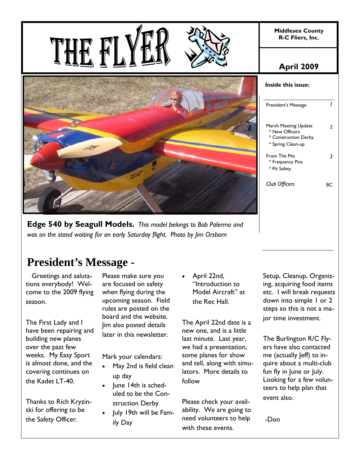**Middlesex County R-C Fliers, Inc.** 



**Edge 540 by Seagull Models.** *This model belongs to Bob Palermo and was on the stand waiting for an early Saturday flight. Photo by Jim Orsborn*

# **President's Message -**

 Greetings and salutations everybody! Welcome to the 2009 flying season.

The First Lady and I have been repairing and building new planes over the past few weeks. My Easy Sport is almost done, and the covering continues on the Kadet LT-40.

Thanks to Rich Kryzinski for offering to be the Safety Officer.

Please make sure you are focused on safety when flying during the upcoming season. Field rules are posted on the board and the website. Jim also posted details later in this newsletter.

Mark your calendars:

- May 2nd is field clean up day
- June 14th is scheduled to be the Construction Derby
- July 19th will be Family Day

 April 22nd, "Introduction to Model Aircraft" at the Rec Hall.

The April 22nd date is a new one, and is a little last minute. Last year, we had a presentation, some planes for show and tell, along with simulators. More details to follow

Please check your availability. We are going to need volunteers to help with these events.

Setup, Cleanup, Organizing, acquiring food items etc. I will break requests down into simple 1 or 2 steps so this is not a major time investment.

The Burlington R/C Flyers have also contacted me (actually Jeff) to inquire about a multi-club fun fly in June or July. Looking for a few volunteers to help plan that event also.

-Don

## **April 2009**

| Inside this issue:                                                                  |    |
|-------------------------------------------------------------------------------------|----|
| President's Message                                                                 |    |
| March Meeting Update<br>* New Officers<br>* Construction Derby<br>* Spring Clean-up | 7  |
| From The Pits<br>* Frequency Pins<br>* Pit Safety                                   |    |
| Club Officers                                                                       | вc |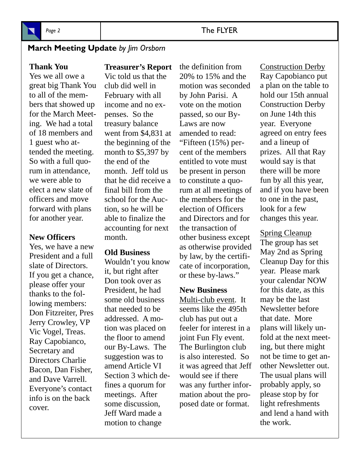

## **March Meeting Update** *by Jim Orsborn*

## **Thank You**

Yes we all owe a great big Thank You to all of the members that showed up for the March Meeting. We had a total of 18 members and 1 guest who attended the meeting. So with a full quorum in attendance, we were able to elect a new slate of officers and move forward with plans for another year.

## **New Officers**

Yes, we have a new President and a full slate of Directors. If you get a chance, please offer your thanks to the following members: Don Fitzreiter, Pres Jerry Crowley, VP Vic Vogel, Treas. Ray Capobianco, Secretary and Directors Charlie Bacon, Dan Fisher, and Dave Varrell. Everyone's contact info is on the back cover.

## **Treasurer's Report**

Vic told us that the club did well in February with all income and no expenses. So the treasury balance went from \$4,831 at the beginning of the month to \$5,397 by the end of the month. Jeff told us that he did receive a final bill from the school for the Auction, so he will be able to finalize the accounting for next month.

## **Old Business**

Wouldn't you know it, but right after Don took over as President, he had some old business that needed to be addressed. A motion was placed on the floor to amend our By-Laws. The suggestion was to amend Article VI Section 3 which defines a quorum for meetings. After some discussion, Jeff Ward made a motion to change

the definition from 20% to 15% and the motion was seconded by John Parisi. A vote on the motion passed, so our By-Laws are now amended to read: "Fifteen (15%) percent of the members entitled to vote must be present in person to constitute a quorum at all meetings of the members for the election of Officers and Directors and for the transaction of other business except as otherwise provided by law, by the certificate of incorporation, or these by-laws."

#### **New Business**

Multi-club event. It seems like the 495th club has put out a feeler for interest in a joint Fun Fly event. The Burlington club is also interested. So it was agreed that Jeff would see if there was any further information about the proposed date or format.

Construction Derby Ray Capobianco put a plan on the table to hold our 15th annual Construction Derby on June 14th this year. Everyone agreed on entry fees and a lineup of prizes. All that Ray would say is that there will be more fun by all this year, and if you have been to one in the past, look for a few changes this year.

Spring Cleanup The group has set May 2nd as Spring Cleanup Day for this year. Please mark your calendar NOW for this date, as this may be the last Newsletter before that date. More plans will likely unfold at the next meeting, but there might not be time to get another Newsletter out. The usual plans will probably apply, so please stop by for light refreshments and lend a hand with the work.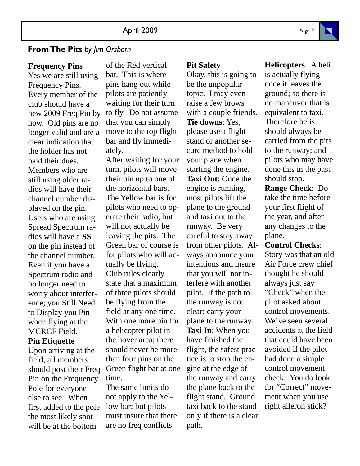## **From The Pits** *by Jim Orsborn*

#### **Frequency Pins**

Yes we are still using Frequency Pins. Every member of the club should have a new 2009 Freq Pin by now. Old pins are no longer valid and are a clear indication that the holder has not paid their dues. Members who are still using older radios will have their channel number displayed on the pin. Users who are using Spread Spectrum radios will have a **SS**  on the pin instead of the channel number. Even if you have a Spectrum radio and no longer need to worry about interference; you Still Need to Display you Pin when flying at the MCRCF Field.

### **Pin Etiquette**

Upon arriving at the field, all members should post their Freq Pin on the Frequency Pole for everyone else to see. When first added to the pole the most likely spot will be at the bottom

of the Red vertical bar. This is where pins hang out while pilots are patiently waiting for their turn to fly. Do not assume that you can simply move to the top flight bar and fly immediately.

After waiting for your turn, pilots will move their pin up to one of the horizontal bars. The Yellow bar is for pilots who need to operate their radio, but will not actually be leaving the pits. The Green bar of course is for pilots who will actually be flying. Club rules clearly state that a maximum of three pilots should be flying from the field at any one time. With one more pin for a helicopter pilot in the hover area; there should never be more than four pins on the Green flight bar at one time.

The same limits do not apply to the Yellow bar; but pilots must insure that there are no freq conflicts.

#### **Pit Safety**

Okay, this is going to be the unpopular topic. I may even raise a few brows with a couple friends. **Tie downs**: Yes, please use a flight stand or another secure method to hold your plane when starting the engine. **Taxi Out**: Once the engine is running, most pilots lift the plane to the ground and taxi out to the runway. Be very careful to stay away from other pilots. Always announce your intentions and insure that you will not interfere with another pilot. If the path to the runway is not clear; carry your plane to the runway. **Taxi In**: When you have finished the flight, the safest practice is to stop the engine at the edge of the runway and carry the plane back to the flight stand. Ground taxi back to the stand only if there is a clear path.

is actually flying once it leaves the ground; so there is no maneuver that is equivalent to taxi. Therefore helis should always be carried from the pits to the runway; and pilots who may have done this in the past should stop. **Range Check**: Do take the time before your first flight of the year, and after

**Helicopters**: A heli

#### plane. **Control Checks**:

any changes to the

Story was that an old Air Force crew chief thought he should always just say "Check" when the pilot asked about control movements. We've seen several accidents at the field that could have been avoided if the pilot had done a simple control movement check. You do look for "Correct" movement when you use right aileron stick?